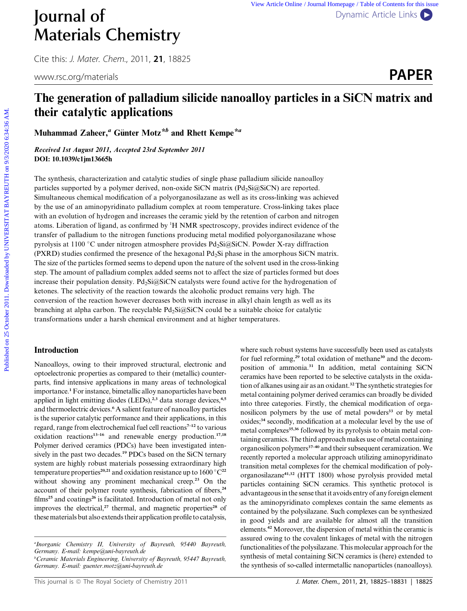# The generation of palladium silicide nanoalloy particles in a SiCN matrix and their catalytic applications

Muhammad Zaheer,<sup>a</sup> Günter Motz<sup>\*b</sup> and Rhett Kempe<sup>\*a</sup>

Received 1st August 2011, Accepted 23rd September 2011 DOI: 10.1039/c1jm13665h

The synthesis, characterization and catalytic studies of single phase palladium silicide nanoalloy particles supported by a polymer derived, non-oxide SiCN matrix  $(Pd<sub>2</sub>Si@SiCN)$  are reported. Simultaneous chemical modification of a polyorganosilazane as well as its cross-linking was achieved by the use of an aminopyridinato palladium complex at room temperature. Cross-linking takes place with an evolution of hydrogen and increases the ceramic yield by the retention of carbon and nitrogen atoms. Liberation of ligand, as confirmed by <sup>1</sup>H NMR spectroscopy, provides indirect evidence of the transfer of palladium to the nitrogen functions producing metal modified polyorganosilazane whose pyrolysis at 1100 °C under nitrogen atmosphere provides Pd<sub>2</sub>Si@SiCN. Powder X-ray diffraction (PXRD) studies confirmed the presence of the hexagonal Pd<sub>2</sub>Si phase in the amorphous SiCN matrix. The size of the particles formed seems to depend upon the nature of the solvent used in the cross-linking step. The amount of palladium complex added seems not to affect the size of particles formed but does increase their population density. Pd<sub>2</sub>Si@SiCN catalysts were found active for the hydrogenation of ketones. The selectivity of the reaction towards the alcoholic product remains very high. The conversion of the reaction however decreases both with increase in alkyl chain length as well as its branching at alpha carbon. The recyclable  $Pd_2Si@SiCN$  could be a suitable choice for catalytic transformations under a harsh chemical environment and at higher temperatures. **Published on 25** October 2011. 2012. The priori of the contents of Contents in the Contents of Contents in the Contents of Contents in a SiCN matrix and their catalytic applications<br> **PAPER**<br> **Published on 2012.** The pre

## Introduction

Nanoalloys, owing to their improved structural, electronic and optoelectronic properties as compared to their (metallic) counterparts, find intensive applications in many areas of technological importance.<sup>1</sup> For instance, bimetallic alloy nanoparticles have been applied in light emitting diodes (LEDs),<sup>2,3</sup> data storage devices,<sup>4,5</sup> and thermoelectric devices.<sup>6</sup> A salient feature of nanoalloy particles is the superior catalytic performance and their applications, in this regard, range from electrochemical fuel cell reactions<sup>7-12</sup> to various oxidation reactions<sup>13-16</sup> and renewable energy production.<sup>17,18</sup> Polymer derived ceramics (PDCs) have been investigated intensively in the past two decades.<sup>19</sup> PDCs based on the SiCN ternary system are highly robust materials possessing extraordinary high temperature properties<sup>20,21</sup> and oxidation resistance up to  $1600\,^{\circ}\mathrm{C}^{22}$ without showing any prominent mechanical creep.<sup>23</sup> On the account of their polymer route synthesis, fabrication of fibers,<sup>24</sup> films<sup>25</sup> and coatings<sup>26</sup> is facilitated. Introduction of metal not only improves the electrical,<sup>27</sup> thermal, and magnetic properties<sup>28</sup> of these materials but also extends their application profile to catalysis,

a Inorganic Chemistry II, University of Bayreuth, 95440 Bayreuth, Germany. E-mail: kempe@uni-bayreuth.de

<sup>b</sup>Ceramic Materials Engineering, University of Bayreuth, 95447 Bayreuth, Germany. E-mail: guenter.motz@uni-bayreuth.de

where such robust systems have successfully been used as catalysts for fuel reforming,<sup>29</sup> total oxidation of methane<sup>30</sup> and the decomposition of ammonia.<sup>31</sup> In addition, metal containing SiCN ceramics have been reported to be selective catalysts in the oxidation of alkanes using air as an oxidant.<sup>32</sup> The synthetic strategies for metal containing polymer derived ceramics can broadly be divided into three categories. Firstly, the chemical modification of organosilicon polymers by the use of metal powders<sup>33</sup> or by metal oxides;<sup>34</sup> secondly, modification at a molecular level by the use of metal complexes<sup>35,36</sup> followed by its pyrolysis to obtain metal containing ceramics. The third approach makes use of metal containing organosilicon polymers<sup>37-40</sup> and their subsequent ceramization. We recently reported a molecular approach utilizing aminopyridinato transition metal complexes for the chemical modification of polyorganosilazane41,32 (HTT 1800) whose pyrolysis provided metal particles containing SiCN ceramics. This synthetic protocol is advantageous in the sense that it avoids entry of any foreign element as the aminopyridinato complexes contain the same elements as contained by the polysilazane. Such complexes can be synthesized in good yields and are available for almost all the transition elements.<sup>42</sup> Moreover, the dispersion of metal within the ceramic is assured owing to the covalent linkages of metal with the nitrogen functionalities of the polysilazane. This molecular approach for the synthesis of metal containing SiCN ceramics is (here) extended to the synthesis of so-called intermetallic nanoparticles (nanoalloys).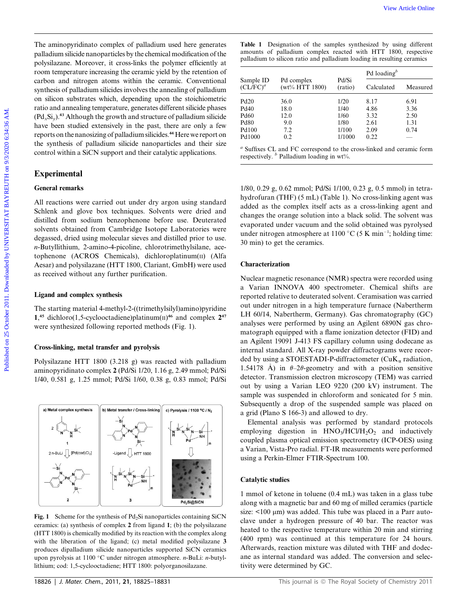The aminopyridinato complex of palladium used here generates palladium silicide nanoparticles by the chemical modification of the polysilazane. Moreover, it cross-links the polymer efficiently at room temperature increasing the ceramic yield by the retention of carbon and nitrogen atoms within the ceramic. Conventional synthesis of palladium silicides involves the annealing of palladium on silicon substrates which, depending upon the stoichiometric ratio and annealing temperature, generates different silicide phases  $(Pd_xSi_y)$ .<sup>43</sup> Although the growth and structure of palladium silicide have been studied extensively in the past, there are only a few reports on the nanosizing of palladium silicides.<sup>44</sup> Here we report on the synthesis of palladium silicide nanoparticles and their size control within a SiCN support and their catalytic applications. Fire analiso pytidiatio complex of palledium used lace generates **Take 1** Designation of the sample symbolization polynomazion policinary and the mean of palledium complex symbolization controlled by the requirement contr

# Experimental

# General remarks

All reactions were carried out under dry argon using standard Schlenk and glove box techniques. Solvents were dried and distilled from sodium benzophenone before use. Deuterated solvents obtained from Cambridge Isotope Laboratories were degassed, dried using molecular sieves and distilled prior to use. n-Butyllithium, 2-amino-4-picoline, chlorotrimethylsilane, acetophenone (ACROS Chemicals), dichloroplatinum(II) (Alfa Aesar) and polysilazane (HTT 1800, Clariant, GmbH) were used as received without any further purification.

### Ligand and complex synthesis

The starting material 4-methyl-2-((trimethylsilyl)amino)pyridine 1,<sup>45</sup> dichloro(1,5-cyclooctadiene)platinum( $\pi$ )<sup>46</sup> and complex  $2^{47}$ were synthesized following reported methods (Fig. 1).

### Cross-linking, metal transfer and pyrolysis

Polysilazane HTT 1800 (3.218 g) was reacted with palladium aminopyridinato complex 2 (Pd/Si 1/20, 1.16 g, 2.49 mmol; Pd/Si 1/40, 0.581 g, 1.25 mmol; Pd/Si 1/60, 0.38 g, 0.83 mmol; Pd/Si



Fig. 1 Scheme for the synthesis of  $Pd_2Si$  nanoparticles containing SiCN ceramics: (a) synthesis of complex 2 from ligand 1; (b) the polysilazane (HTT 1800) is chemically modified by its reaction with the complex along with the liberation of the ligand; (c) metal modified polysilazane 3 produces dipalladium silicide nanoparticles supported SiCN ceramics upon pyrolysis at 1100 °C under nitrogen atmosphere.  $n$ -BuLi:  $n$ -butyllithium; cod: 1,5-cyclooctadiene; HTT 1800: polyorganosilazane.

| <b>Table 1</b> Designation of the samples synthesized by using different |
|--------------------------------------------------------------------------|
| amounts of palladium complex reacted with HTT 1800, respective           |
| palladium to silicon ratio and palladium loading in resulting ceramics   |

|                                   |                                 | Pd/Si<br>(ratio) | Pd loading $\phi$ |          |  |
|-----------------------------------|---------------------------------|------------------|-------------------|----------|--|
| Sample ID<br>(CL/FC) <sup>a</sup> | Pd complex<br>$(wt\% HTT 1800)$ |                  | Calculated        | Measured |  |
| <b>Pd20</b>                       | 36.0                            | 1/20             | 8.17              | 6.91     |  |
| Pd40                              | 18.0                            | 1/40             | 4.86              | 3.36     |  |
| Pd <sub>60</sub>                  | 12.0                            | 1/60             | 3.32              | 2.50     |  |
| <b>Pd80</b>                       | 9.0                             | 1/80             | 2.61              | 1.31     |  |
| <b>Pd100</b>                      | 7.2                             | 1/100            | 2.09              | 0.74     |  |
| Pd1000                            | 0.2                             | 1/1000           | 0.22              |          |  |

<sup>a</sup> Suffixes CL and FC correspond to the cross-linked and ceramic form respectively.  $\frac{b}{b}$  Palladium loading in wt%.

1/80, 0.29 g, 0.62 mmol; Pd/Si 1/100, 0.23 g, 0.5 mmol) in tetrahydrofuran (THF) (5 mL) (Table 1). No cross-linking agent was added as the complex itself acts as a cross-linking agent and changes the orange solution into a black solid. The solvent was evaporated under vacuum and the solid obtained was pyrolysed under nitrogen atmosphere at 1100 °C (5 K min<sup>-1</sup>; holding time: 30 min) to get the ceramics.

#### Characterization

Nuclear magnetic resonance (NMR) spectra were recorded using a Varian INNOVA 400 spectrometer. Chemical shifts are reported relative to deuterated solvent. Ceramisation was carried out under nitrogen in a high temperature furnace (Nabertherm LH 60/14, Nabertherm, Germany). Gas chromatography (GC) analyses were performed by using an Agilent 6890N gas chromatograph equipped with a flame ionization detector (FID) and an Agilent 19091 J-413 FS capillary column using dodecane as internal standard. All X-ray powder diffractograms were recorded by using a STOESTADI-P-diffractometer (CuK $_{\alpha}$  radiation, 1.54178  $\AA$ ) in  $\theta$ -2 $\theta$ -geometry and with a position sensitive detector. Transmission electron microscopy (TEM) was carried out by using a Varian LEO 9220 (200 kV) instrument. The sample was suspended in chloroform and sonicated for 5 min. Subsequently a drop of the suspended sample was placed on a grid (Plano S 166-3) and allowed to dry.

Elemental analysis was performed by standard protocols employing digestion in  $HNO<sub>3</sub>/HCl/H<sub>2</sub>O<sub>2</sub>$  and inductively coupled plasma optical emission spectrometry (ICP-OES) using a Varian, Vista-Pro radial. FT-IR measurements were performed using a Perkin-Elmer FTIR-Spectrum 100.

#### Catalytic studies

1 mmol of ketone in toluene (0.4 mL) was taken in a glass tube along with a magnetic bar and 60 mg of milled ceramics (particle size:  $\lt 100 \mu m$ ) was added. This tube was placed in a Parr autoclave under a hydrogen pressure of 40 bar. The reactor was heated to the respective temperature within 20 min and stirring (400 rpm) was continued at this temperature for 24 hours. Afterwards, reaction mixture was diluted with THF and dodecane as internal standard was added. The conversion and selectivity were determined by GC.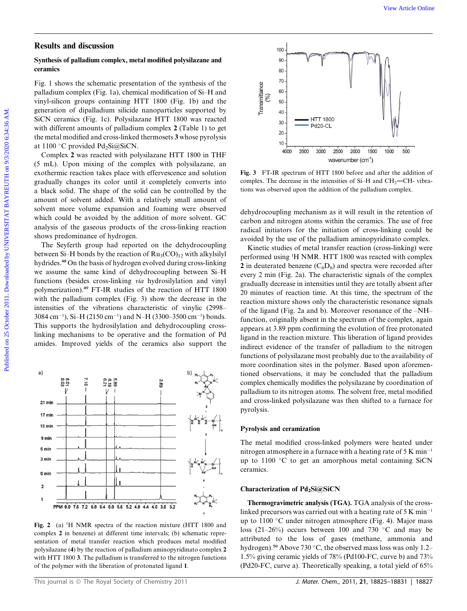# Results and discussion

### Synthesis of palladium complex, metal modified polysilazane and ceramics

Fig. 1 shows the schematic presentation of the synthesis of the palladium complex (Fig. 1a), chemical modification of Si–H and vinyl-silicon groups containing HTT 1800 (Fig. 1b) and the generation of dipalladium silicide nanoparticles supported by SiCN ceramics (Fig. 1c). Polysilazane HTT 1800 was reacted with different amounts of palladium complex 2 (Table 1) to get the metal modified and cross-linked thermosets 3 whose pyrolysis at 1100 °C provided  $Pd_2Si(\omega SiCN)$ .

Complex 2 was reacted with polysilazane HTT 1800 in THF (5 mL). Upon mixing of the complex with polysilazane, an exothermic reaction takes place with effervescence and solution gradually changes its color until it completely converts into a black solid. The shape of the solid can be controlled by the amount of solvent added. With a relatively small amount of solvent more volume expansion and foaming were observed which could be avoided by the addition of more solvent. GC analysis of the gaseous products of the cross-linking reaction shows predominance of hydrogen.

The Seyferth group had reported on the dehydrocoupling between Si–H bonds by the reaction of  $Ru_3(CO)_{12}$  with alkylsilyl hydrides.<sup>48</sup> On the basis of hydrogen evolved during cross-linking we assume the same kind of dehydrocoupling between Si–H functions (besides cross-linking via hydrosilylation and vinyl polymerization).<sup>49</sup> FT-IR studies of the reaction of HTT 1800 with the palladium complex (Fig. 3) show the decrease in the intensities of the vibrations characteristic of vinylic (2998–  $3084 \text{ cm}^{-1}$ ), Si–H (2150 cm<sup>-1</sup>) and N–H (3300–3500 cm<sup>-1</sup>) bonds. This supports the hydrosilylation and dehydrocoupling crosslinking mechanisms to be operative and the formation of Pd amides. Improved yields of the ceramics also support the



Fig. 2 (a) <sup>1</sup>H NMR spectra of the reaction mixture (HTT 1800 and complex 2 in benzene) at different time intervals; (b) schematic representation of metal transfer reaction which produces metal modified polysilazane (4) by the reaction of palladium aminopyridinato complex 2 with HTT 1800 3. The palladium is transferred to the nitrogen functions of the polymer with the liberation of protonated ligand 1.



Fig. 3 FT-IR spectrum of HTT 1800 before and after the addition of complex. The decrease in the intensities of  $Si-H$  and  $CH<sub>2</sub>=CH-$  vibrations was observed upon the addition of the palladium complex.

dehydrocoupling mechanism as it will result in the retention of carbon and nitrogen atoms within the ceramics. The use of free radical initiators for the initiation of cross-linking could be avoided by the use of the palladium aminopyridinato complex.

Kinetic studies of metal transfer reaction (cross-linking) were performed using <sup>1</sup>H NMR. HTT 1800 was reacted with complex 2 in deuterated benzene  $(C_6D_6)$  and spectra were recorded after every 2 min (Fig. 2a). The characteristic signals of the complex gradually decrease in intensities until they are totally absent after 20 minutes of reaction time. At this time, the spectrum of the reaction mixture shows only the characteristic resonance signals of the ligand (Fig. 2a and b). Moreover resonance of the –NH– function, originally absent in the spectrum of the complex, again appears at 3.89 ppm confirming the evolution of free protonated ligand in the reaction mixture. This liberation of ligand provides indirect evidence of the transfer of palladium to the nitrogen functions of polysilazane most probably due to the availability of more coordination sites in the polymer. Based upon aforementioned observations, it may be concluded that the palladium complex chemically modifies the polysilazane by coordination of palladium to its nitrogen atoms. The solvent free, metal modified and cross-linked polysilazane was then shifted to a furnace for pyrolysis. **Results and discussion**<br>
Symbols of pulled<br>into subscription of the symbols of the symbols of the symbols of the<br>
results and the symbols of the symbols of the symbols of the symbols of<br>
particle on 8/2020 section of the

## Pyrolysis and ceramization

The metal modified cross-linked polymers were heated under nitrogen atmosphere in a furnace with a heating rate of  $5 \text{ K min}^{-1}$ up to  $1100$  °C to get an amorphous metal containing SiCN ceramics.

# Characterization of Pd2Si@SiCN

Thermogravimetric analysis (TGA). TGA analysis of the crosslinked precursors was carried out with a heating rate of 5 K min<sup>-1</sup> up to  $1100$  °C under nitrogen atmosphere (Fig. 4). Major mass loss (21–26%) occurs between 100 and 730 °C and may be attributed to the loss of gases (methane, ammonia and hydrogen).<sup>50</sup> Above 730 °C, the observed mass loss was only 1.2– 1.5% giving ceramic yields of 78% (Pd100-FC, curve b) and 73% (Pd20-FC, curve a). Theoretically speaking, a total yield of 65%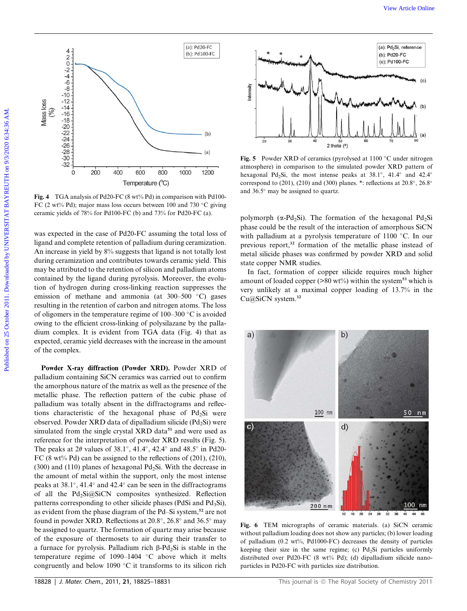

Fig. 4 TGA analysis of Pd20-FC (8 wt% Pd) in comparison with Pd100-FC (2 wt% Pd); major mass loss occurs between 100 and 730 °C giving ceramic yields of 78% for Pd100-FC (b) and 73% for Pd20-FC (a).

was expected in the case of Pd20-FC assuming the total loss of ligand and complete retention of palladium during ceramization. An increase in yield by 8% suggests that ligand is not totally lost during ceramization and contributes towards ceramic yield. This may be attributed to the retention of silicon and palladium atoms contained by the ligand during pyrolysis. Moreover, the evolution of hydrogen during cross-linking reaction suppresses the emission of methane and ammonia (at  $300-500$  °C) gases resulting in the retention of carbon and nitrogen atoms. The loss of oligomers in the temperature regime of  $100-300$  °C is avoided owing to the efficient cross-linking of polysilazane by the palladium complex. It is evident from TGA data (Fig. 4) that as expected, ceramic yield decreases with the increase in the amount of the complex.

Powder X-ray diffraction (Powder XRD). Powder XRD of palladium containing SiCN ceramics was carried out to confirm the amorphous nature of the matrix as well as the presence of the metallic phase. The reflection pattern of the cubic phase of palladium was totally absent in the diffractograms and reflections characteristic of the hexagonal phase of  $Pd_2Si$  were observed. Powder XRD data of dipalladium silicide ( $Pd<sub>2</sub>Si$ ) were simulated from the single crystal XRD data<sup>51</sup> and were used as reference for the interpretation of powder XRD results (Fig. 5). The peaks at  $2\theta$  values of  $38.1^\circ$ ,  $41.4^\circ$ ,  $42.4^\circ$  and  $48.5^\circ$  in Pd20-FC (8 wt% Pd) can be assigned to the reflections of  $(201)$ ,  $(210)$ , (300) and (110) planes of hexagonal  $Pd_2Si$ . With the decrease in the amount of metal within the support, only the most intense peaks at  $38.1^{\circ}$ , 41.4 $^{\circ}$  and 42.4 $^{\circ}$  can be seen in the diffractograms of all the  $Pd_2Si@SiCN$  composites synthesized. Reflection patterns corresponding to other silicide phases (PdSi and  $Pd_3Si$ ), as evident from the phase diagram of the Pd–Si system,<sup>52</sup> are not found in powder XRD. Reflections at  $20.8^\circ$ ,  $26.8^\circ$  and  $36.5^\circ$  may be assigned to quartz. The formation of quartz may arise because of the exposure of thermosets to air during their transfer to a furnace for pyrolysis. Palladium rich  $\beta$ -Pd<sub>2</sub>Si is stable in the temperature regime of 1090-1404  $\degree$ C above which it melts congruently and below 1090  $\degree$ C it transforms to its silicon rich



Fig. 5 Powder XRD of ceramics (pyrolysed at  $1100 °C$  under nitrogen atmosphere) in comparison to the simulated powder XRD pattern of hexagonal Pd<sub>2</sub>Si, the most intense peaks at 38.1°, 41.4° and 42.4° correspond to (201), (210) and (300) planes. \*: reflections at  $20.8^{\circ}$ ,  $26.8^{\circ}$ and  $36.5^\circ$  may be assigned to quartz.

polymorph ( $\alpha$ -Pd<sub>2</sub>Si). The formation of the hexagonal Pd<sub>2</sub>Si phase could be the result of the interaction of amorphous SiCN with palladium at a pyrolysis temperature of  $1100$  °C. In our previous report,<sup>32</sup> formation of the metallic phase instead of metal silicide phases was confirmed by powder XRD and solid state copper NMR studies.

In fact, formation of copper silicide requires much higher amount of loaded copper ( $>80$  wt%) within the system<sup>53</sup> which is very unlikely at a maximal copper loading of 13.7% in the Cu@SiCN system.<sup>32</sup>



Fig. 6 TEM micrographs of ceramic materials. (a) SiCN ceramic without palladium loading does not show any particles; (b) lower loading of palladium (0.2 wt%, Pd1000-FC) decreases the density of particles keeping their size in the same regime; (c)  $Pd_2Si$  particles uniformly distributed over Pd20-FC (8 wt% Pd); (d) dipalladium silicide nanoparticles in Pd20-FC with particles size distribution.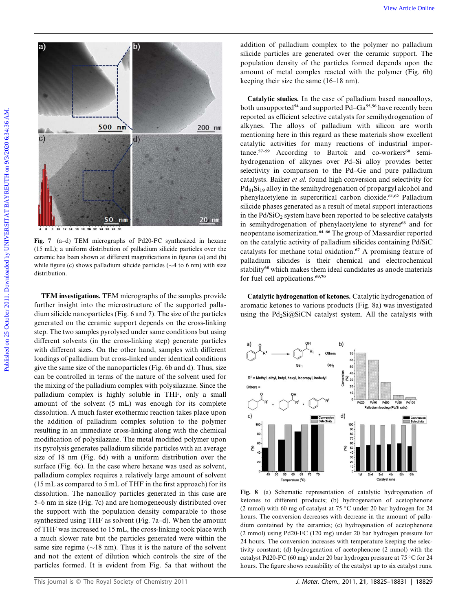

Fig. 7 (a–d) TEM micrographs of Pd20-FC synthesized in hexane (15 mL); a uniform distribution of palladium silicide particles over the ceramic has been shown at different magnifications in figures (a) and (b) while figure (c) shows palladium silicide particles ( $\sim$ 4 to 6 nm) with size distribution.

TEM investigations. TEM micrographs of the samples provide further insight into the microstructure of the supported palladium silicide nanoparticles (Fig. 6 and 7). The size of the particles generated on the ceramic support depends on the cross-linking step. The two samples pyrolysed under same conditions but using different solvents (in the cross-linking step) generate particles with different sizes. On the other hand, samples with different loadings of palladium but cross-linked under identical conditions give the same size of the nanoparticles (Fig. 6b and d). Thus, size can be controlled in terms of the nature of the solvent used for the mixing of the palladium complex with polysilazane. Since the palladium complex is highly soluble in THF, only a small amount of the solvent (5 mL) was enough for its complete dissolution. A much faster exothermic reaction takes place upon the addition of palladium complex solution to the polymer resulting in an immediate cross-linking along with the chemical modification of polysilazane. The metal modified polymer upon its pyrolysis generates palladium silicide particles with an average size of 18 nm (Fig. 6d) with a uniform distribution over the surface (Fig. 6c). In the case where hexane was used as solvent, palladium complex requires a relatively large amount of solvent (15 mL as compared to 5 mL of THF in the first approach) for its dissolution. The nanoalloy particles generated in this case are 5–6 nm in size (Fig. 7c) and are homogeneously distributed over the support with the population density comparable to those synthesized using THF as solvent (Fig. 7a–d). When the amount of THF was increased to 15 mL, the cross-linking took place with a much slower rate but the particles generated were within the same size regime ( $\sim$ 18 nm). Thus it is the nature of the solvent and not the extent of dilution which controls the size of the particles formed. It is evident from Fig. 5a that without the

addition of palladium complex to the polymer no palladium silicide particles are generated over the ceramic support. The population density of the particles formed depends upon the amount of metal complex reacted with the polymer (Fig. 6b) keeping their size the same (16–18 nm).

Catalytic studies. In the case of palladium based nanoalloys, both unsupported<sup>54</sup> and supported  $Pd-Ga<sup>55,56</sup>$  have recently been reported as efficient selective catalysts for semihydrogenation of alkynes. The alloys of palladium with silicon are worth mentioning here in this regard as these materials show excellent catalytic activities for many reactions of industrial importance.<sup>57-59</sup> According to Bartok and co-workers<sup>60</sup> semihydrogenation of alkynes over Pd–Si alloy provides better selectivity in comparison to the Pd–Ge and pure palladium catalysts. Baiker et al. found high conversion and selectivity for  $Pd_{81}Si_{19}$  alloy in the semihydrogenation of propargyl alcohol and phenylacetylene in supercritical carbon dioxide.<sup>61,62</sup> Palladium silicide phases generated as a result of metal support interactions in the  $Pd/SiO<sub>2</sub>$  system have been reported to be selective catalysts in semihydrogenation of phenylacetylene to styrene<sup>63</sup> and for neopentane isomerization.64–66 The group of Massardier reported on the catalytic activity of palladium silicides containing Pd/SiC catalysts for methane total oxidation.<sup>67</sup> A promising feature of palladium silicides is their chemical and electrochemical stability<sup>68</sup> which makes them ideal candidates as anode materials for fuel cell applications.<sup>69,70</sup>

Catalytic hydrogenation of ketones. Catalytic hydrogenation of aromatic ketones to various products (Fig. 8a) was investigated using the Pd<sub>2</sub>Si@SiCN catalyst system. All the catalysts with



Fig. 8 (a) Schematic representation of catalytic hydrogenation of ketones to different products; (b) hydrogenation of acetophenone (2 mmol) with 60 mg of catalyst at 75  $\degree$ C under 20 bar hydrogen for 24 hours. The conversion decreases with decrease in the amount of palladium contained by the ceramics; (c) hydrogenation of acetophenone (2 mmol) using Pd20-FC (120 mg) under 20 bar hydrogen pressure for 24 hours. The conversion increases with temperature keeping the selectivity constant; (d) hydrogenation of acetophenone (2 mmol) with the catalyst Pd20-FC (60 mg) under 20 bar hydrogen pressure at 75 °C for 24 hours. The figure shows reusability of the catalyst up to six catalyst runs.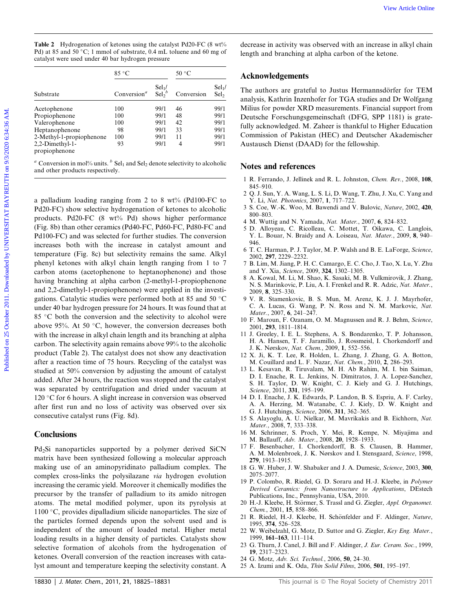| <b>Table 2</b> Hydrogenation of ketones using the catalyst Pd20-FC (8 wt%) |
|----------------------------------------------------------------------------|
| Pd) at 85 and 50 °C; 1 mmol of substrate, 0.4 mL toluene and 60 mg of      |
| catalyst were used under 40 bar hydrogen pressure                          |

|                                  | $85^{\circ}$ C                       |                                      | 50 °C      |                              |
|----------------------------------|--------------------------------------|--------------------------------------|------------|------------------------------|
| Substrate                        | Conversion <sup><math>a</math></sup> | Sel <sub>1</sub><br>$\text{Sel}_2^b$ | Conversion | $Sel1$ /<br>Sel <sub>2</sub> |
| Acetophenone                     | 100                                  | 99/1                                 | 46         | 99/1                         |
| Propiophenone                    | 100                                  | 99/1                                 | 48         | 99/1                         |
| Valerophenone                    | 100                                  | 99/1                                 | 42         | 99/1                         |
| Heptanophenone                   | 98                                   | 99/1                                 | 33         | 99/1                         |
| 2-Methyl-1-propiophenone         | 100                                  | 99/1                                 | 11         | 99/1                         |
| 2,2-Dimethyl-1-<br>propiophenone | 93                                   | 99/1                                 | 4          | 99/1                         |

<sup>a</sup> Conversion in mol% units.  $\frac{b}{c}$  Sel<sub>1</sub> and Sel<sub>2</sub> denote selectivity to alcoholic and other products respectively.

a palladium loading ranging from 2 to 8 wt% (Pd100-FC to Pd20-FC) show selective hydrogenation of ketones to alcoholic products. Pd20-FC (8 wt% Pd) shows higher performance (Fig. 8b) than other ceramics (Pd40-FC, Pd60-FC, Pd80-FC and Pd100-FC) and was selected for further studies. The conversion increases both with the increase in catalyst amount and temperature (Fig. 8c) but selectivity remains the same. Alkyl phenyl ketones with alkyl chain length ranging from 1 to 7 carbon atoms (acetophenone to heptanophenone) and those having branching at alpha carbon (2-methyl-1-propiophenone and 2,2-dimethyl-1-propiophenone) were applied in the investigations. Catalytic studies were performed both at 85 and 50  $\degree$ C under 40 bar hydrogen pressure for 24 hours. It was found that at  $85$  °C both the conversion and the selectivity to alcohol were above 95%. At 50  $\degree$ C, however, the conversion decreases both with the increase in alkyl chain length and its branching at alpha carbon. The selectivity again remains above 99% to the alcoholic product (Table 2). The catalyst does not show any deactivation after a reaction time of 75 hours. Recycling of the catalyst was studied at 50% conversion by adjusting the amount of catalyst added. After 24 hours, the reaction was stopped and the catalyst was separated by centrifugation and dried under vacuum at 120 °C for 6 hours. A slight increase in conversion was observed after first run and no loss of activity was observed over six consecutive catalyst runs (Fig. 8d). **Take 2** Dylengenation of between the particle by the state of one of the state of the state of the state of the state of the state of the state of the state of the state of the state of the state of the state of the stat

### **Conclusions**

Pd<sub>2</sub>Si nanoparticles supported by a polymer derived SiCN matrix have been synthesized following a molecular approach making use of an aminopyridinato palladium complex. The complex cross-links the polysilazane via hydrogen evolution increasing the ceramic yield. Moreover it chemically modifies the precursor by the transfer of palladium to its amido nitrogen atoms. The metal modified polymer, upon its pyrolysis at  $1100 °C$ , provides dipalladium silicide nanoparticles. The size of the particles formed depends upon the solvent used and is independent of the amount of loaded metal. Higher metal loading results in a higher density of particles. Catalysts show selective formation of alcohols from the hydrogenation of ketones. Overall conversion of the reaction increases with catalyst amount and temperature keeping the selectivity constant. A

decrease in activity was observed with an increase in alkyl chain length and branching at alpha carbon of the ketone.

### Acknowledgements

The authors are grateful to Justus Hermannsdörfer for TEM analysis, Kathrin Inzenhofer for TGA studies and Dr Wolfgang Milius for powder XRD measurements. Financial support from Deutsche Forschungsgemeinschaft (DFG, SPP 1181) is gratefully acknowledged. M. Zaheer is thankful to Higher Education Commission of Pakistan (HEC) and Deutscher Akademischer Austausch Dienst (DAAD) for the fellowship.

### Notes and references

- 1 R. Ferrando, J. Jellinek and R. L. Johnston, Chem. Rev., 2008, 108, 845–910.
- 2 Q. J. Sun, Y. A. Wang, L. S. Li, D. Wang, T. Zhu, J. Xu, C. Yang and Y. Li, Nat. Photonics, 2007, 1, 717–722.
- 3 S. Coe, W.-K. Woo, M. Bawendi and V. Bulovic, Nature, 2002, 420, 800–803.
- 4 M. Wuttig and N. Yamada, Nat. Mater., 2007, 6, 824–832.
- 5 D. Alloyeau, C. Ricolleau, C. Mottet, T. Oikawa, C. Langlois, Y. L. Bouar, N. Braidy and A. Loiseau, Nat. Mater., 2009, 8, 940– 946.
- 6 T. C. Harman, P. J. Taylor, M. P. Walsh and B. E. LaForge, Science, 2002, 297, 2229–2232.
- 7 B. Lim, M. Jiang, P. H. C. Camargo, E. C. Cho, J. Tao, X. Lu, Y. Zhu and Y. Xia, Science, 2009, 324, 1302–1305.
- 8 A. Kowal, M. Li, M. Shao, K. Sasaki, M. B. Vulkmirovik, J. Zhang, N. S. Marinkovic, P. Liu, A. I. Frenkel and R. R. Adzic, Nat. Mater., 2009, 8, 325–330.
- 9 V. R. Stamenkovic, B. S. Mun, M. Arenz, K. J. J. Mayrhofer, C. A. Lucas, G. Wang, P. N. Ross and N. M. Markovic, Nat. Mater., 2007, 6, 241–247.
- 10 F. Maroun, F. Ozanam, O. M. Magnussen and R. J. Behm, Science, 2001, 293, 1811–1814.
- 11 J. Greeley, I. E. L. Stephens, A. S. Bondarenko, T. P. Johansson, H. A. Hansen, T. F. Jaramillo, J. Rossmeisl, I. Chorkendorff and J. K. Nørskov, Nat. Chem., 2009, 1, 552–556.
- 12 X. Ji, K. T. Lee, R. Holden, L. Zhang, J. Zhang, G. A. Botton, M. Couillard and L. F. Nazar, Nat. Chem., 2010, 2, 286–293.
- 13 L. Kesavan, R. Tiruvalam, M. H. Ab Rahim, M. I. bin Saiman, D. I. Enache, R. L. Jenkins, N. Dimitratos, J. A. Lopez-Sanchez, S. H. Taylor, D. W. Knight, C. J. Kiely and G. J. Hutchings, Science, 2011, 331, 195–199.
- 14 D. I. Enache, J. K. Edwards, P. Landon, B. S. Espriu, A. F. Carley, A. A. Herzing, M. Watanabe, C. J. Kiely, D. W. Knight and G. J. Hutchings, Science, 2006, 311, 362–365.
- 15 S. Alayoglu, A. U. Nielkar, M. Mavrikakis and B. Eichhorn, Nat. Mater., 2008, 7, 333–338.
- 16 M. Schrinner, S. Proch, Y. Mei, R. Kempe, N. Miyajima and M. Ballauff, Adv. Mater., 2008, 20, 1928–1933.
- 17 F. Besenbacher, I. Chorkendorff, B. S. Clausen, B. Hammer, A. M. Molenbroek, J. K. Nørskov and I. Stensgaard, Science, 1998, 279, 1913–1915.
- 18 G. W. Huber, J. W. Shabaker and J. A. Dumesic, Science, 2003, 300, 2075–2077.
- 19 P. Colombo, R. Riedel, G. D. Soraru and H.-J. Kleebe, in Polymer Derived Ceramics: from Nanostructure to Applications, DEstech Publications, Inc., Pennsylvania, USA, 2010.
- 20 H.-J. Kleebe, H. Störmer, S. Trassl and G. Ziegler, Appl. Organomet. Chem., 2001, 15, 858–866.
- 21 R. Riedel, H.-J. Kleebe, H. Schönfelder and F. Aldinger, Nature, 1995, 374, 526–528.
- 22 W. Weibelzahl, G. Motz, D. Suttor and G. Ziegler, Key Eng. Mater., 1999, 161–163, 111–114.
- 23 G. Thurn, J. Canel, J. Bill and F. Aldinger, J. Eur. Ceram. Soc., 1999, 19, 2317–2323.
- 24 G. Motz, Adv. Sci. Technol., 2006, 50, 24–30.
- 25 A. Izumi and K. Oda, Thin Solid Films, 2006, 501, 195–197.